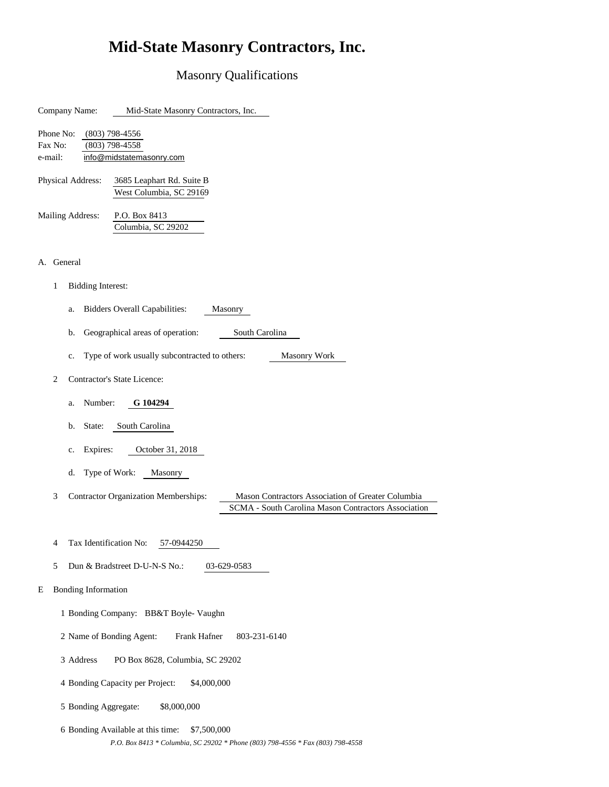### Masonry Qualifications

| Company Name:<br>Mid-State Masonry Contractors, Inc.                                                                                                         |  |  |  |
|--------------------------------------------------------------------------------------------------------------------------------------------------------------|--|--|--|
| Phone No:<br>$(803)$ 798-4556<br>Fax No:<br>$(803)$ 798-4558<br>e-mail:<br>info@midstatemasonry.com                                                          |  |  |  |
| Physical Address:<br>3685 Leaphart Rd. Suite B<br>West Columbia, SC 29169                                                                                    |  |  |  |
| <b>Mailing Address:</b><br>P.O. Box 8413<br>Columbia, SC 29202                                                                                               |  |  |  |
| General<br>А.                                                                                                                                                |  |  |  |
| 1<br><b>Bidding Interest:</b>                                                                                                                                |  |  |  |
| <b>Bidders Overall Capabilities:</b><br>Masonry<br>a.                                                                                                        |  |  |  |
| Geographical areas of operation:<br>South Carolina<br>b.                                                                                                     |  |  |  |
| Type of work usually subcontracted to others:<br><b>Masonry Work</b><br>c.                                                                                   |  |  |  |
| Contractor's State Licence:<br>2                                                                                                                             |  |  |  |
| Number:<br>G 104294<br>a.                                                                                                                                    |  |  |  |
| South Carolina<br>b.<br>State:                                                                                                                               |  |  |  |
| October 31, 2018<br>Expires:<br>c.                                                                                                                           |  |  |  |
| Type of Work:<br>d.<br>Masonry                                                                                                                               |  |  |  |
| 3<br><b>Contractor Organization Memberships:</b><br>Mason Contractors Association of Greater Columbia<br>SCMA - South Carolina Mason Contractors Association |  |  |  |
|                                                                                                                                                              |  |  |  |
| Tax Identification No:<br>4<br>57-0944250                                                                                                                    |  |  |  |
| 5<br>Dun & Bradstreet D-U-N-S No.:<br>03-629-0583                                                                                                            |  |  |  |
| <b>Bonding Information</b><br>E                                                                                                                              |  |  |  |
| 1 Bonding Company: BB&T Boyle- Vaughn                                                                                                                        |  |  |  |
| 2 Name of Bonding Agent:<br>Frank Hafner<br>803-231-6140                                                                                                     |  |  |  |
| 3 Address<br>PO Box 8628, Columbia, SC 29202                                                                                                                 |  |  |  |
| 4 Bonding Capacity per Project:<br>\$4,000,000                                                                                                               |  |  |  |
| 5 Bonding Aggregate:<br>\$8,000,000                                                                                                                          |  |  |  |

6 Bonding Available at this time: \$7,500,000 *P.O. Box 8413 \* Columbia, SC 29202 \* Phone (803) 798-4556 \* Fax (803) 798-4558*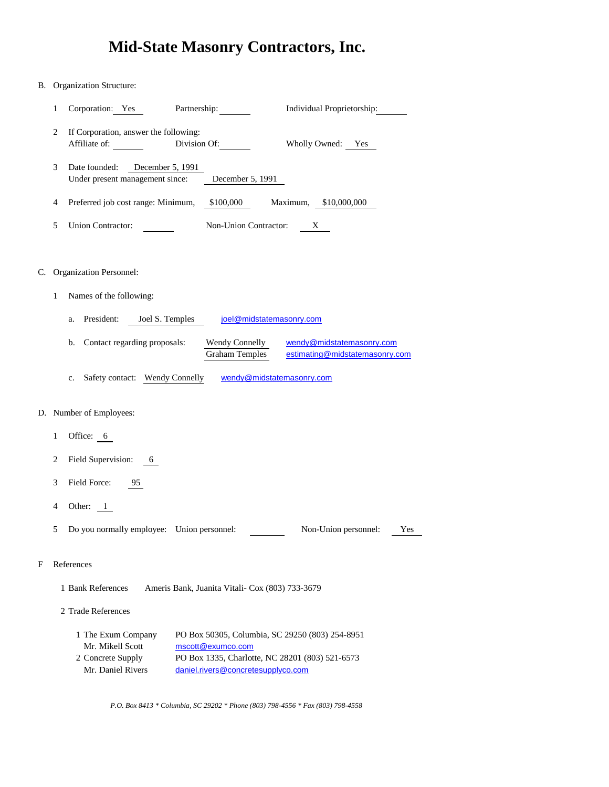#### B. Organization Structure:

|   | Partnership:<br>Corporation: Yes                                       |                       | Individual Proprietorship: |
|---|------------------------------------------------------------------------|-----------------------|----------------------------|
| 2 | If Corporation, answer the following:<br>Division Of:<br>Affiliate of: |                       | Wholly Owned:<br>Yes       |
| 3 | Date founded:<br>December 5, 1991<br>Under present management since:   | December 5, 1991      |                            |
| 4 | Preferred job cost range: Minimum,                                     | \$100,000             | \$10,000,000<br>Maximum,   |
|   | Union Contractor:                                                      | Non-Union Contractor: | Х                          |

#### C. Organization Personnel:

- 1 Names of the following:
	- a. President: Joel S. Temples [joel@](mailto:joel@midstatemasonry.com)midstatemasonry.com
	- b. Contact regarding proposals: [wen](mailto:wendy@midstatemasonry.com)dy@midstatemasonry.com [estim](mailto:estimating@midstatemasonry.com)ating@midstatemasonry.com Wendy Connelly Graham Temples
	- c. Safety contact: Wendy Connelly vendy@midstatemasonry.com

#### D. Number of Employees:

- 1 Office: 6
- 2 Field Supervision: 6
- 3 Field Force: 95
- 4 Other: 1
- 5 Do you normally employee: Union personnel: Non-Union personnel: Yes

#### F References

1 Bank References Ameris Bank, Juanita Vitali- Cox (803) 733-3679

2 Trade References

| 1 The Exum Company | PO Box 50305, Columbia, SC 29250 (803) 254-8951 |
|--------------------|-------------------------------------------------|
| Mr. Mikell Scott   | mscott@exumco.com                               |
| 2 Concrete Supply  | PO Box 1335, Charlotte, NC 28201 (803) 521-6573 |
| Mr. Daniel Rivers  | daniel.rivers@concretesupplyco.com              |

*P.O. Box 8413 \* Columbia, SC 29202 \* Phone (803) 798-4556 \* Fax (803) 798-4558*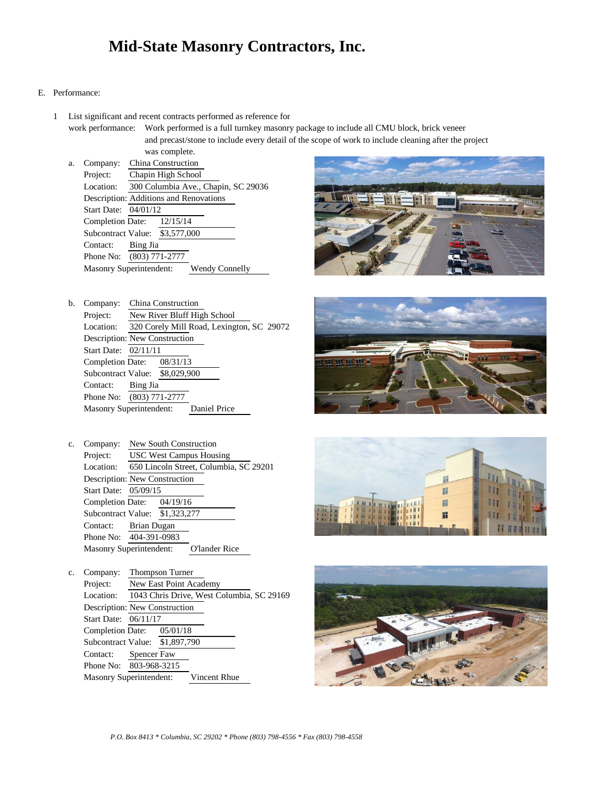#### E. Performance:

1 List significant and recent contracts performed as reference for

work performance: Work performed is a full turnkey masonry package to include all CMU block, brick veneer and precast/stone to include every detail of the scope of work to include cleaning after the project was complete.

a. Company: China Construction Project: Chapin High School Location: 300 Columbia Ave., Chapin, SC 29036 Description: Additions and Renovations Start Date: 04/01/12 Completion Date: Subcontract Value: \$3,577,000 Contact: Bing Jia Phone No: (803) 771-2777 Masonry Superintendent: Wendy Connelly 12/15/14



| b. | Company:                       |                                           | China Construction          |              |  |  |
|----|--------------------------------|-------------------------------------------|-----------------------------|--------------|--|--|
|    | Project:                       |                                           | New River Bluff High School |              |  |  |
|    | Location:                      | 320 Corely Mill Road, Lexington, SC 29072 |                             |              |  |  |
|    | Description: New Construction  |                                           |                             |              |  |  |
|    | Start Date: 02/11/11           |                                           |                             |              |  |  |
|    | Completion Date: 08/31/13      |                                           |                             |              |  |  |
|    | Subcontract Value: \$8,029,900 |                                           |                             |              |  |  |
|    | Contact:                       | Bing Jia                                  |                             |              |  |  |
|    | Phone No: (803) 771-2777       |                                           |                             |              |  |  |
|    | Masonry Superintendent:        |                                           |                             | Daniel Price |  |  |



c. Company: Thompson Turner Project: New East Point Academy Location: 1043 Chris Drive, West Columbia, SC 29169 Description: New Construction Start Date: 06/11/17 Completion Date: Subcontract Value: \$1,897,790 Contact: Spencer Faw Phone No: 803-968-3215 Masonry Superintendent: Vincent Rhue  $05/01/18$